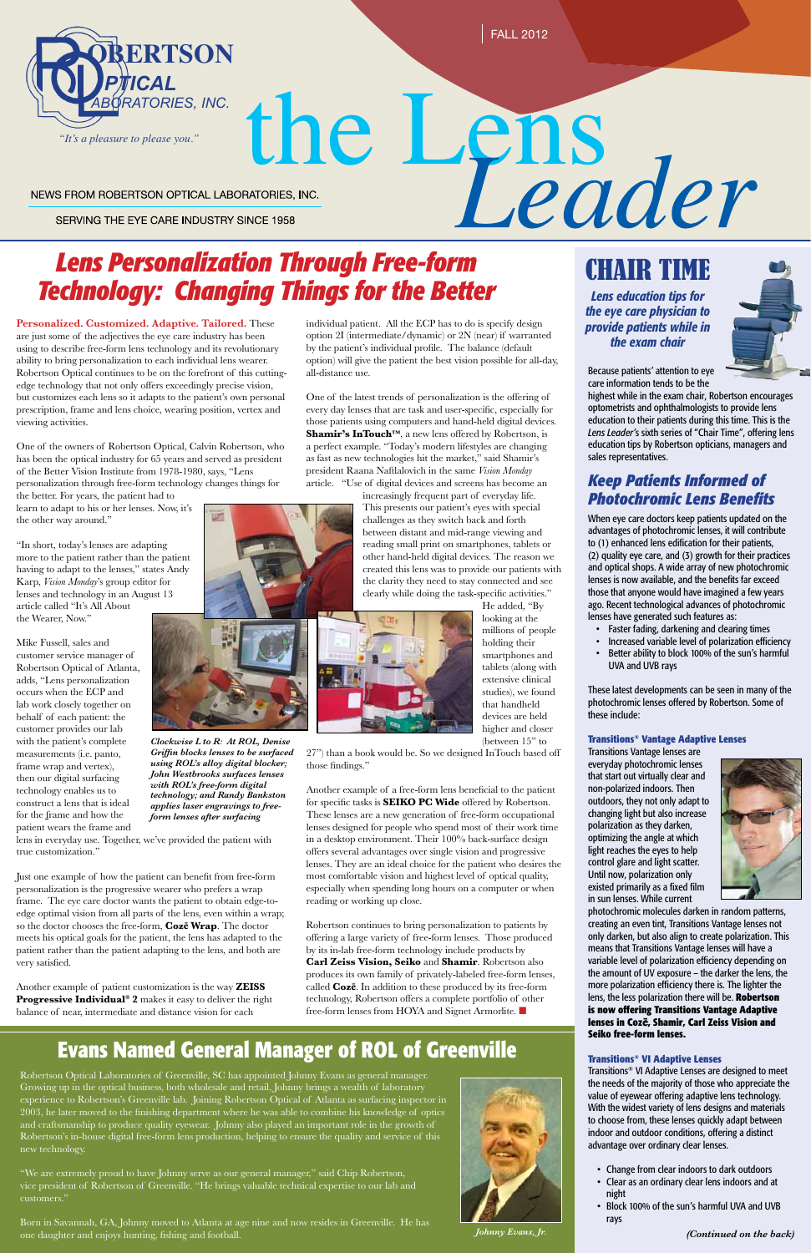

# NEWS FROM ROBERTSON OPTICAL LABORATORIES, INC.

SERVING THE EYE CARE INDUSTRY SINCE 1958

*(Continued on the back)*

# the Lens<br>
MATORIES, INC.<br>
TON Through Free-form<br>
Through Free-form<br>
CHAIR TIME *Lens Personalization Through Free-form Technology: Changing Things for the Better*

*Lens education tips for the eye care physician to provide patients while in the exam chair*



**Personalized. Customized. Adaptive. Tailored.** These are just some of the adjectives the eye care industry has been using to describe free-form lens technology and its revolutionary ability to bring personalization to each individual lens wearer. Robertson Optical continues to be on the forefront of this cuttingedge technology that not only offers exceedingly precise vision, but customizes each lens so it adapts to the patient's own personal prescription, frame and lens choice, wearing position, vertex and viewing activities.

One of the owners of Robertson Optical, Calvin Robertson, who has been the optical industry for 65 years and served as president of the Better Vision Institute from 1978-1980, says, "Lens personalization through free-form technology changes things for the better. For years, the patient had to

learn to adapt to his or her lenses. Now, it's the other way around."

"In short, today's lenses are adapting more to the patient rather than the patient having to adapt to the lenses," states Andy Karp, *Vision Monday*'s group editor for lenses and technology in an August 13 article called "It's All About the Wearer, Now."

Mike Fussell, sales and customer service manager of Robertson Optical of Atlanta, adds, "Lens personalization occurs when the ECP and lab work closely together on behalf of each patient: the customer provides our lab with the patient's complete measurements (i.e. panto, frame wrap and vertex), then our digital surfacing technology enables us to construct a lens that is ideal for the frame and how the patient wears the frame and

Born in Savannah, GA, Johnny moved to Atlanta at age nine and now resides in Greenville. He has one daughter and enjoys hunting, fishing and football.



lens in everyday use. Together, we've provided the patient with true customization."

Just one example of how the patient can benefit from free-form personalization is the progressive wearer who prefers a wrap frame. The eye care doctor wants the patient to obtain edge-toedge optimal vision from all parts of the lens, even within a wrap; so the doctor chooses the free-form, **Cozē Wrap**. The doctor meets his optical goals for the patient, the lens has adapted to the patient rather than the patient adapting to the lens, and both are very satisfied.

Another example of patient customization is the way **ZEISS Progressive Individual® 2** makes it easy to deliver the right balance of near, intermediate and distance vision for each

Robertson Optical Laboratories of Greenville, SC has appointed Johnny Evans as general manager. Growing up in the optical business, both wholesale and retail, Johnny brings a wealth of laboratory experience to Robertson's Greenville lab. Joining Robertson Optical of Atlanta as surfacing inspector in 2003, he later moved to the finishing department where he was able to combine his knowledge of optics and craftsmanship to produce quality eyewear. Johnny also played an important role in the growth of Robertson's in-house digital free-form lens production, helping to ensure the quality and service of this new technology.

- Change from clear indoors to dark outdoors
- Clear as an ordinary clear lens indoors and at night
- Block 100% of the sun's harmful UVA and UVB rays

"We are extremely proud to have Johnny serve as our general manager," said Chip Robertson, vice president of Robertson of Greenville. "He brings valuable technical expertise to our lab and

# **Evans Named General Manager of ROL of Greenville**

Because patients' attention to eye care information tends to be the

highest while in the exam chair, Robertson encourages optometrists and ophthalmologists to provide lens education to their patients during this time. This is the *Lens Leader'*s sixth series of "Chair Time", offering lens education tips by Robertson opticians, managers and sales representatives.

(between 15" to 27") than a book would be. So we designed InTouch based off those findings."

# *Keep Patients Informed of Photochromic Lens Benefits*

Robertson continues to bring personalization to patients by offering a large variety of free-form lenses. Those produced by its in-lab free-form technology include products by **Carl Zeiss Vision, Seiko** and **Shamir**. Robertson also produces its own family of privately-labeled free-form lenses, called **Cozē**. In addition to these produced by its free-form technology, Robertson offers a complete portfolio of other free-form lenses from HOYA and Signet Armorlite.  $\blacksquare$ 

When eye care doctors keep patients updated on the advantages of photochromic lenses, it will contribute to (1) enhanced lens edification for their patients, (2) quality eye care, and (3) growth for their practices and optical shops. A wide array of new photochromic lenses is now available, and the benefits far exceed those that anyone would have imagined a few years ago. Recent technological advances of photochromic lenses have generated such features as:

- • Faster fading, darkening and clearing times
- Increased variable level of polarization efficiency
- • Better ability to block 100% of the sun's harmful UVA and UVB rays

These latest developments can be seen in many of the photochromic lenses offered by Robertson. Some of these include:

### **Transitions® Vantage Adaptive Lenses**

Transitions Vantage lenses are everyday photochromic lenses that start out virtually clear and non-polarized indoors. Then outdoors, they not only adapt to changing light but also increase polarization as they darken, optimizing the angle at which light reaches the eyes to help control glare and light scatter. Until now, polarization only existed primarily as a fixed film in sun lenses. While current



photochromic molecules darken in random patterns, creating an even tint, Transitions Vantage lenses not only darken, but also align to create polarization. This means that Transitions Vantage lenses will have a variable level of polarization efficiency depending on the amount of UV exposure – the darker the lens, the more polarization efficiency there is. The lighter the lens, the less polarization there will be. **Robertson is now offering Transitions Vantage Adaptive lenses in Cozē, Shamir, Carl Zeiss Vision and Seiko free-form lenses.** 



**Light** 

### **Transitions® VI Adaptive Lenses**

Transitions® VI Adaptive Lenses are designed to meet the needs of the majority of those who appreciate the value of eyewear offering adaptive lens technology. With the widest variety of lens designs and materials to choose from, these lenses quickly adapt between indoor and outdoor conditions, offering a distinct advantage over ordinary clear lenses.

individual patient. All the ECP has to do is specify design option 2I (intermediate/dynamic) or 2N (near) if warranted by the patient's individual profile. The balance (default option) will give the patient the best vision possible for all-day, all-distance use.

One of the latest trends of personalization is the offering of every day lenses that are task and user-specific, especially for those patients using computers and hand-held digital devices. **Shamir's InTouch™**, a new lens offered by Robertson, is a perfect example. "Today's modern lifestyles are changing as fast as new technologies hit the market," said Shamir's president Raana Naftlalovich in the same *Vision Monday* article. "Use of digital devices and screens has become an

increasingly frequent part of everyday life. This presents our patient's eyes with special challenges as they switch back and forth between distant and mid-range viewing and reading small print on smartphones, tablets or other hand-held digital devices. The reason we created this lens was to provide our patients with the clarity they need to stay connected and see clearly while doing the task-specific activities."

> He added, "By looking at the millions of people holding their smartphones and tablets (along with extensive clinical studies), we found that handheld devices are held higher and closer



Another example of a free-form lens beneficial to the patient for specific tasks is **SEIKO PC Wide** offered by Robertson. These lenses are a new generation of free-form occupational lenses designed for people who spend most of their work time in a desktop environment. Their 100% back-surface design offers several advantages over single vision and progressive lenses. They are an ideal choice for the patient who desires the most comfortable vision and highest level of optical quality, especially when spending long hours on a computer or when reading or working up close.

*Clockwise L to R: At ROL, Denise Griffin blocks lenses to be surfaced using ROL's alloy digital blocker; John Westbrooks surfaces lenses with ROL's free-form digital technology; and Randy Bankston applies laser engravings to freeform lenses after surfacing*

*Johnny Evans, Jr.*